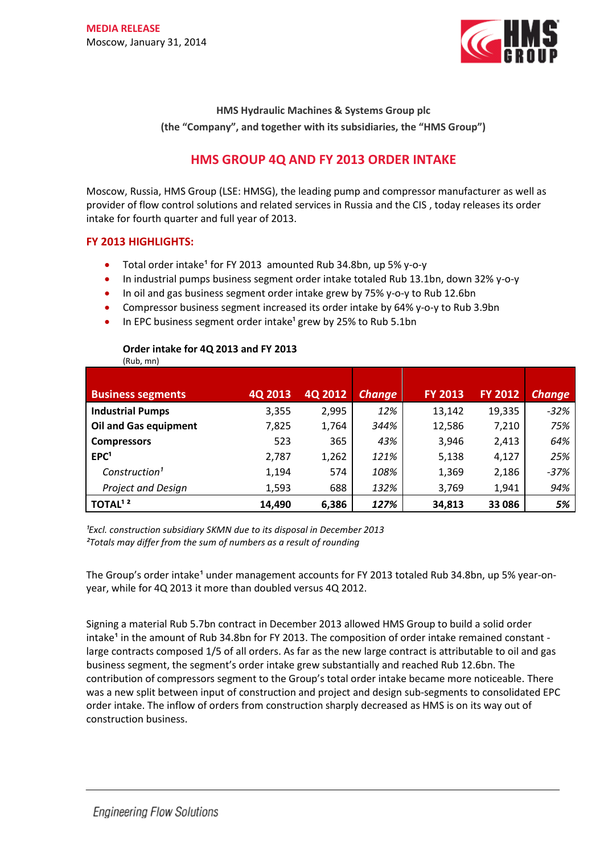

**HMS Hydraulic Machines & Systems Group plc (the "Company", and together with its subsidiaries, the "HMS Group")**

# **HMS GROUP 4Q AND FY 2013 ORDER INTAKE**

Moscow, Russia, HMS Group (LSE: HMSG), the leading pump and compressor manufacturer as well as provider of flow control solutions and related services in Russia and the CIS , today releases its order intake for fourth quarter and full year of 2013.

## **FY 2013 HIGHLIGHTS:**

- Total order intake<sup>1</sup> for FY 2013 amounted Rub 34.8bn, up 5% y-o-y
- In industrial pumps business segment order intake totaled Rub 13.1bn, down 32% y-o-y
- In oil and gas business segment order intake grew by 75% y-o-y to Rub 12.6bn
- Compressor business segment increased its order intake by 64% y-o-y to Rub 3.9bn
- In EPC business segment order intake<sup>1</sup> grew by 25% to Rub 5.1bn

## **Order intake for 4Q 2013 and FY 2013**

(Rub, mn)

| <b>Business segments</b>     | 4Q 2013 | 4Q 2012 | <b>Change</b> | <b>FY 2013</b> | <b>FY 2012</b> | <b>Change</b> |
|------------------------------|---------|---------|---------------|----------------|----------------|---------------|
| <b>Industrial Pumps</b>      | 3,355   | 2,995   | 12%           | 13,142         | 19,335         | $-32%$        |
| <b>Oil and Gas equipment</b> | 7,825   | 1,764   | 344%          | 12,586         | 7,210          | 75%           |
| <b>Compressors</b>           | 523     | 365     | 43%           | 3,946          | 2,413          | 64%           |
| EPC <sup>1</sup>             | 2,787   | 1,262   | 121%          | 5,138          | 4,127          | 25%           |
| Construction <sup>1</sup>    | 1,194   | 574     | 108%          | 1,369          | 2,186          | $-37%$        |
| <b>Project and Design</b>    | 1,593   | 688     | 132%          | 3,769          | 1,941          | 94%           |
| TOTAL <sup>12</sup>          | 14,490  | 6,386   | 127%          | 34,813         | 33 086         | 5%            |

*¹Excl. construction subsidiary SKMN due to its disposal in December 2013 ²Totals may differ from the sum of numbers as a result of rounding* 

The Group's order intake<sup>1</sup> under management accounts for FY 2013 totaled Rub 34.8bn, up 5% year-onyear, while for 4Q 2013 it more than doubled versus 4Q 2012.

Signing a material Rub 5.7bn contract in December 2013 allowed HMS Group to build a solid order intake<sup>1</sup> in the amount of Rub 34.8bn for FY 2013. The composition of order intake remained constant large contracts composed 1/5 of all orders. As far as the new large contract is attributable to oil and gas business segment, the segment's order intake grew substantially and reached Rub 12.6bn. The contribution of compressors segment to the Group's total order intake became more noticeable. There was a new split between input of construction and project and design sub-segments to consolidated EPC order intake. The inflow of orders from construction sharply decreased as HMS is on its way out of construction business.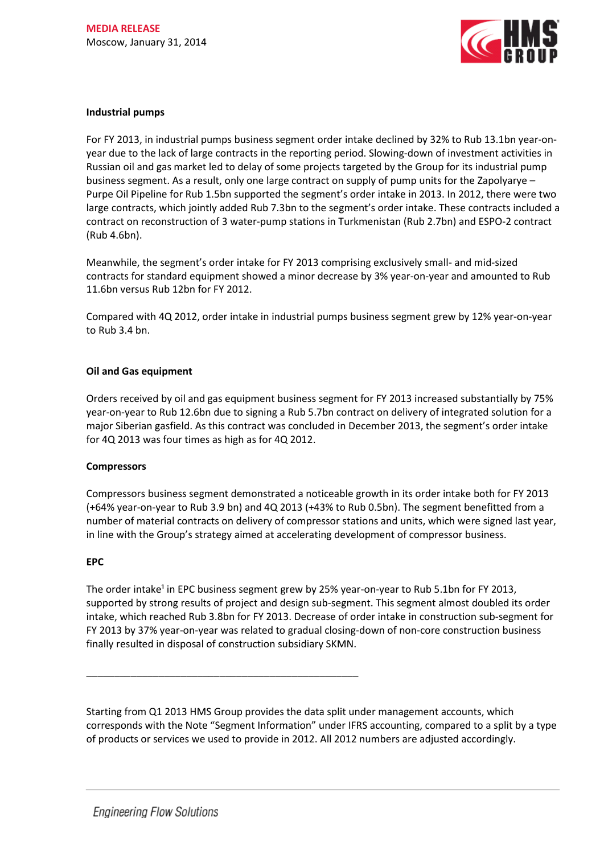

#### **Industrial pumps**

For FY 2013, in industrial pumps business segment order intake declined by 32% to Rub 13.1bn year-onyear due to the lack of large contracts in the reporting period. Slowing-down of investment activities in Russian oil and gas market led to delay of some projects targeted by the Group for its industrial pump business segment. As a result, only one large contract on supply of pump units for the Zapolyarye – Purpe Oil Pipeline for Rub 1.5bn supported the segment's order intake in 2013. In 2012, there were two large contracts, which jointly added Rub 7.3bn to the segment's order intake. These contracts included a contract on reconstruction of 3 water-pump stations in Turkmenistan (Rub 2.7bn) and ESPO-2 contract (Rub 4.6bn).

Meanwhile, the segment's order intake for FY 2013 comprising exclusively small- and mid-sized contracts for standard equipment showed a minor decrease by 3% year-on-year and amounted to Rub 11.6bn versus Rub 12bn for FY 2012.

Compared with 4Q 2012, order intake in industrial pumps business segment grew by 12% year-on-year to Rub 3.4 bn.

### **Oil and Gas equipment**

Orders received by oil and gas equipment business segment for FY 2013 increased substantially by 75% year-on-year to Rub 12.6bn due to signing a Rub 5.7bn contract on delivery of integrated solution for a major Siberian gasfield. As this contract was concluded in December 2013, the segment's order intake for 4Q 2013 was four times as high as for 4Q 2012.

#### **Compressors**

Compressors business segment demonstrated a noticeable growth in its order intake both for FY 2013 (+64% year-on-year to Rub 3.9 bn) and 4Q 2013 (+43% to Rub 0.5bn). The segment benefitted from a number of material contracts on delivery of compressor stations and units, which were signed last year, in line with the Group's strategy aimed at accelerating development of compressor business.

#### **EPC**

The order intake<sup>1</sup> in EPC business segment grew by 25% year-on-year to Rub 5.1bn for FY 2013, supported by strong results of project and design sub-segment. This segment almost doubled its order intake, which reached Rub 3.8bn for FY 2013. Decrease of order intake in construction sub-segment for FY 2013 by 37% year-on-year was related to gradual closing-down of non-core construction business finally resulted in disposal of construction subsidiary SKMN.

Starting from Q1 2013 HMS Group provides the data split under management accounts, which corresponds with the Note "Segment Information" under IFRS accounting, compared to a split by a type of products or services we used to provide in 2012. All 2012 numbers are adjusted accordingly.

\_\_\_\_\_\_\_\_\_\_\_\_\_\_\_\_\_\_\_\_\_\_\_\_\_\_\_\_\_\_\_\_\_\_\_\_\_\_\_\_\_\_\_\_\_\_\_\_\_